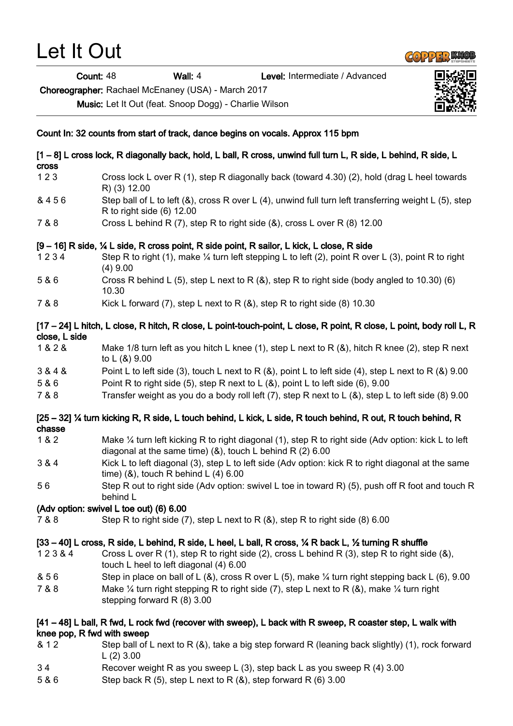| Count: 48                  |                                         | Wall: 4                                                        | Level: Intermediate / Advanced                                                                                                |  |
|----------------------------|-----------------------------------------|----------------------------------------------------------------|-------------------------------------------------------------------------------------------------------------------------------|--|
|                            |                                         | Choreographer: Rachael McEnaney (USA) - March 2017             |                                                                                                                               |  |
|                            |                                         | Music: Let It Out (feat. Snoop Dogg) - Charlie Wilson          |                                                                                                                               |  |
|                            |                                         |                                                                | Count In: 32 counts from start of track, dance begins on vocals. Approx 115 bpm                                               |  |
| <b>Cross</b>               |                                         |                                                                | [1 – 8] L cross lock, R diagonally back, hold, L ball, R cross, unwind full turn L, R side, L behind, R side, L               |  |
| 123                        | R) (3) 12.00                            |                                                                | Cross lock L over R (1), step R diagonally back (toward 4.30) (2), hold (drag L heel towards                                  |  |
| & 456                      | R to right side (6) 12.00               |                                                                | Step ball of L to left (&), cross R over L (4), unwind full turn left transferring weight L (5), step                         |  |
| 7 & 8                      |                                         |                                                                | Cross L behind R (7), step R to right side (&), cross L over R (8) 12.00                                                      |  |
|                            |                                         |                                                                | [9 - 16] R side, ¼ L side, R cross point, R side point, R sailor, L kick, L close, R side                                     |  |
| 1234                       | $(4)$ 9.00                              |                                                                | Step R to right (1), make $\frac{1}{4}$ turn left stepping L to left (2), point R over L (3), point R to right                |  |
| 5 & 6                      | 10.30                                   |                                                                | Cross R behind L (5), step L next to R $(8)$ , step R to right side (body angled to 10.30) (6)                                |  |
| 7 & 8                      |                                         |                                                                | Kick L forward (7), step L next to R $(8)$ , step R to right side $(8)$ 10.30                                                 |  |
| close, L side              |                                         |                                                                | [17 – 24] L hitch, L close, R hitch, R close, L point-touch-point, L close, R point, R close, L point, body roll L, R         |  |
| 1 & 2 &                    | to L (&) 9.00                           |                                                                | Make 1/8 turn left as you hitch L knee (1), step L next to R $(8)$ , hitch R knee (2), step R next                            |  |
| 3 & 4 &                    |                                         |                                                                | Point L to left side (3), touch L next to R $(8)$ , point L to left side (4), step L next to R $(8)$ 9.00                     |  |
| 5 & 6                      |                                         |                                                                | Point R to right side (5), step R next to L $(8)$ , point L to left side (6), 9.00                                            |  |
| 7 & 8                      |                                         |                                                                | Transfer weight as you do a body roll left (7), step R next to L (&), step L to left side (8) 9.00                            |  |
| chasse                     |                                         |                                                                | [25 – 32] ¼ turn kicking R, R side, L touch behind, L kick, L side, R touch behind, R out, R touch behind, R                  |  |
| 1 & 2                      |                                         | diagonal at the same time) $(8)$ , touch L behind R $(2)$ 6.00 | Make 1/4 turn left kicking R to right diagonal (1), step R to right side (Adv option: kick L to left                          |  |
| 3 & 4                      |                                         | time) $(8)$ , touch R behind L $(4)$ 6.00                      | Kick L to left diagonal (3), step L to left side (Adv option: kick R to right diagonal at the same                            |  |
| 56                         | behind L                                |                                                                | Step R out to right side (Adv option: swivel L toe in toward R) (5), push off R foot and touch R                              |  |
|                            | (Adv option: swivel L toe out) (6) 6.00 |                                                                |                                                                                                                               |  |
| 7 & 8                      |                                         |                                                                | Step R to right side (7), step L next to R $(8)$ , step R to right side (8) 6.00                                              |  |
|                            |                                         |                                                                | [33 – 40] L cross, R side, L behind, R side, L heel, L ball, R cross, $\frac{1}{4}$ R back L, $\frac{1}{2}$ turning R shuffle |  |
| 123&4                      |                                         | touch L heel to left diagonal (4) 6.00                         | Cross L over R (1), step R to right side (2), cross L behind R (3), step R to right side (8),                                 |  |
| & 56                       |                                         |                                                                | Step in place on ball of L (&), cross R over L (5), make $\frac{1}{4}$ turn right stepping back L (6), 9.00                   |  |
| 7 & 8                      | stepping forward R (8) 3.00             |                                                                | Make $\frac{1}{4}$ turn right stepping R to right side (7), step L next to R (&), make $\frac{1}{4}$ turn right               |  |
| knee pop, R fwd with sweep |                                         |                                                                | [41 – 48] L ball, R fwd, L rock fwd (recover with sweep), L back with R sweep, R coaster step, L walk with                    |  |
| & 12                       | $L(2)$ 3.00                             |                                                                | Step ball of L next to R $(8)$ , take a big step forward R (leaning back slightly) (1), rock forward                          |  |

**COPPER KNOB** 

- 3 4 Recover weight R as you sweep L (3), step back L as you sweep R (4) 3.00
- 5 & 6 Step back R (5), step L next to R (&), step forward R (6) 3.00

Let It Out